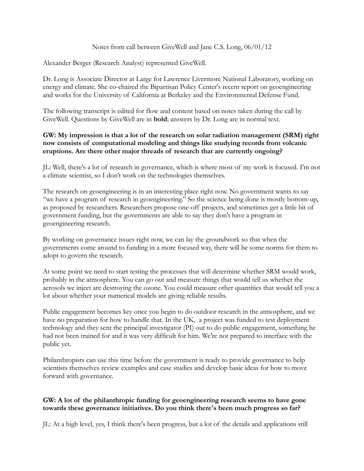## Notes from call between GiveWell and Jane C.S. Long, 06/01/12

Alexander Berger (Research Analyst) represented GiveWell.

Dr. Long is Associate Director at Large for Lawrence Livermore National Laboratory, working on energy and climate. She co-chaired the Bipartisan Policy Center's recent report on geoengineering and works for the University of California at Berkeley and the Environmental Defense Fund.

The following transcript is edited for flow and content based on notes taken during the call by GiveWell. Questions by GiveWell are in **bold**; answers by Dr. Long are in normal text.

## **GW: My impression is that a lot of the research on solar radiation management (SRM) right now consists of computational modeling and things like studying records from volcanic eruptions. Are there other major threads of research that are currently ongoing?**

JL: Well, there's a lot of research in governance, which is where most of my work is focused. I'm not a climate scientist, so I don't work on the technologies themselves.

The research on geoengineering is in an interesting place right now. No government wants to say "we have a program of research in geoengineering." So the science being done is mostly bottom-up, as proposed by researchers. Researchers propose one-off projects, and sometimes get a little bit of government funding, but the governments are able to say they don't have a program in geoengineering research.

By working on governance issues right now, we can lay the groundwork so that when the governments come around to funding in a more focused way, there will be some norms for them to adopt to govern the research.

At some point we need to start testing the processes that will determine whether SRM would work, probably in the atmosphere. You can go out and measure things that would tell us whether the aerosols we inject are destroying the ozone. You could measure other quantities that would tell you a lot about whether your numerical models are giving reliable results.

Public engagement becomes key once you begin to do outdoor research in the atmosphere, and we have no preparation for how to handle that. In the UK, a project was funded to test deployment technology and they sent the principal investigator (PI) out to do public engagement, something he had not been trained for and it was very difficult for him. We're not prepared to interface with the public yet.

Philanthropists can use this time before the government is ready to provide governance to help scientists themselves review examples and case studies and develop basic ideas for how to move forward with governance.

## **GW: A lot of the philanthropic funding for geoengineering research seems to have gone towards these governance initiatives. Do you think there's been much progress so far?**

JL: At a high level, yes, I think there's been progress, but a lot of the details and applications still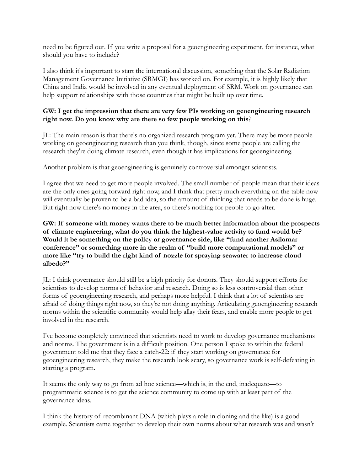need to be figured out. If you write a proposal for a geoengineering experiment, for instance, what should you have to include?

I also think it's important to start the international discussion, something that the Solar Radiation Management Governance Initiative (SRMGI) has worked on. For example, it is highly likely that China and India would be involved in any eventual deployment of SRM. Work on governance can help support relationships with those countries that might be built up over time.

## **GW: I get the impression that there are very few PIs working on geoengineering research right now. Do you know why are there so few people working on this**?

JL: The main reason is that there's no organized research program yet. There may be more people working on geoengineering research than you think, though, since some people are calling the research they're doing climate research, even though it has implications for geoengineering.

Another problem is that geoengineering is genuinely controversial amongst scientists.

I agree that we need to get more people involved. The small number of people mean that their ideas are the only ones going forward right now, and I think that pretty much everything on the table now will eventually be proven to be a bad idea, so the amount of thinking that needs to be done is huge. But right now there's no money in the area, so there's nothing for people to go after.

**GW: If someone with money wants there to be much better information about the prospects of climate engineering, what do you think the highest-value activity to fund would be? Would it be something on the policy or governance side, like "fund another Asilomar conference" or something more in the realm of "build more computational models" or more like "try to build the right kind of nozzle for spraying seawater to increase cloud albedo?"**

JL: I think governance should still be a high priority for donors. They should support efforts for scientists to develop norms of behavior and research. Doing so is less controversial than other forms of geoengineering research, and perhaps more helpful. I think that a lot of scientists are afraid of doing things right now, so they're not doing anything. Articulating geoengineering research norms within the scientific community would help allay their fears, and enable more people to get involved in the research.

I've become completely convinced that scientists need to work to develop governance mechanisms and norms. The government is in a difficult position. One person I spoke to within the federal government told me that they face a catch-22: if they start working on governance for geoengineering research, they make the research look scary, so governance work is self-defeating in starting a program.

It seems the only way to go from ad hoc science—which is, in the end, inadequate—to programmatic science is to get the science community to come up with at least part of the governance ideas.

I think the history of recombinant DNA (which plays a role in cloning and the like) is a good example. Scientists came together to develop their own norms about what research was and wasn't